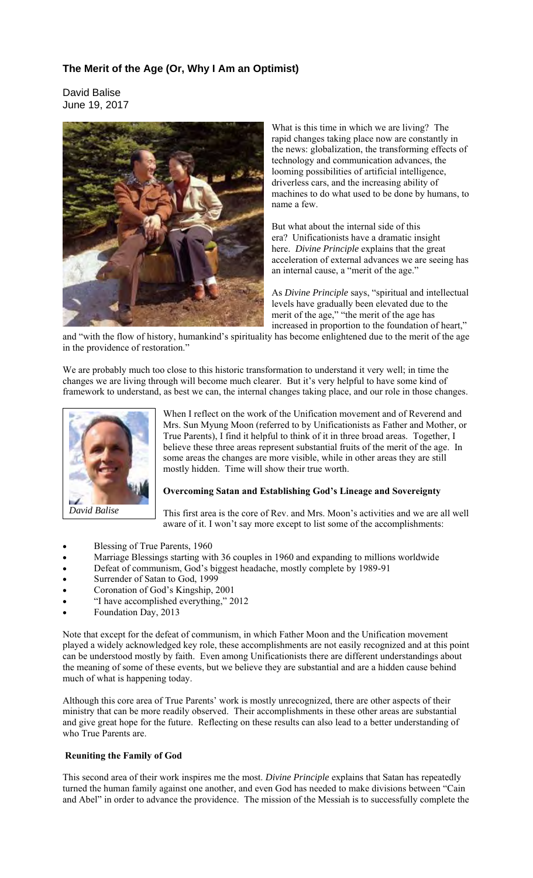## **The Merit of the Age (Or, Why I Am an Optimist)**

David Balise June 19, 2017



What is this time in which we are living? The rapid changes taking place now are constantly in the news: globalization, the transforming effects of technology and communication advances, the looming possibilities of artificial intelligence, driverless cars, and the increasing ability of machines to do what used to be done by humans, to name a few.

But what about the internal side of this era? Unificationists have a dramatic insight here. *Divine Principle* explains that the great acceleration of external advances we are seeing has an internal cause, a "merit of the age."

As *Divine Principle* says, "spiritual and intellectual levels have gradually been elevated due to the merit of the age," "the merit of the age has increased in proportion to the foundation of heart,"

and "with the flow of history, humankind's spirituality has become enlightened due to the merit of the age in the providence of restoration."

We are probably much too close to this historic transformation to understand it very well; in time the changes we are living through will become much clearer. But it's very helpful to have some kind of framework to understand, as best we can, the internal changes taking place, and our role in those changes.



When I reflect on the work of the Unification movement and of Reverend and Mrs. Sun Myung Moon (referred to by Unificationists as Father and Mother, or True Parents), I find it helpful to think of it in three broad areas. Together, I believe these three areas represent substantial fruits of the merit of the age. In some areas the changes are more visible, while in other areas they are still mostly hidden. Time will show their true worth.

## **Overcoming Satan and Establishing God's Lineage and Sovereignty**

This first area is the core of Rev. and Mrs. Moon's activities and we are all well aware of it. I won't say more except to list some of the accomplishments:

- Blessing of True Parents, 1960
- Marriage Blessings starting with 36 couples in 1960 and expanding to millions worldwide
- Defeat of communism, God's biggest headache, mostly complete by 1989-91
- Surrender of Satan to God, 1999
- Coronation of God's Kingship, 2001
- "I have accomplished everything," 2012
- Foundation Day, 2013

Note that except for the defeat of communism, in which Father Moon and the Unification movement played a widely acknowledged key role, these accomplishments are not easily recognized and at this point can be understood mostly by faith. Even among Unificationists there are different understandings about the meaning of some of these events, but we believe they are substantial and are a hidden cause behind much of what is happening today.

Although this core area of True Parents' work is mostly unrecognized, there are other aspects of their ministry that can be more readily observed. Their accomplishments in these other areas are substantial and give great hope for the future. Reflecting on these results can also lead to a better understanding of who True Parents are.

## **Reuniting the Family of God**

This second area of their work inspires me the most. *Divine Principle* explains that Satan has repeatedly turned the human family against one another, and even God has needed to make divisions between "Cain and Abel" in order to advance the providence. The mission of the Messiah is to successfully complete the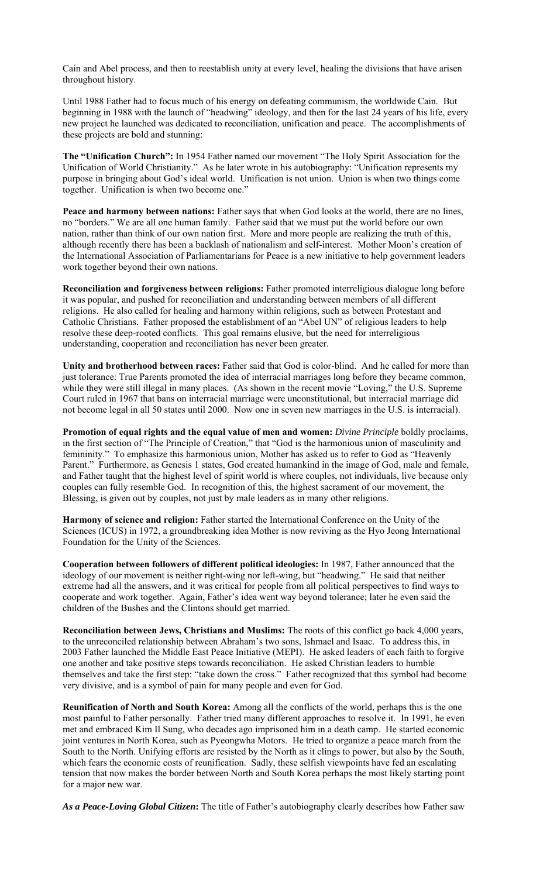Cain and Abel process, and then to reestablish unity at every level, healing the divisions that have arisen throughout history.

Until 1988 Father had to focus much of his energy on defeating communism, the worldwide Cain. But beginning in 1988 with the launch of "headwing" ideology, and then for the last 24 years of his life, every new project he launched was dedicated to reconciliation, unification and peace. The accomplishments of these projects are bold and stunning:

**The "Unification Church":** In 1954 Father named our movement "The Holy Spirit Association for the Unification of World Christianity." As he later wrote in his autobiography: "Unification represents my purpose in bringing about God's ideal world. Unification is not union. Union is when two things come together. Unification is when two become one."

**Peace and harmony between nations:** Father says that when God looks at the world, there are no lines, no "borders." We are all one human family. Father said that we must put the world before our own nation, rather than think of our own nation first. More and more people are realizing the truth of this, although recently there has been a backlash of nationalism and self-interest. Mother Moon's creation of the International Association of Parliamentarians for Peace is a new initiative to help government leaders work together beyond their own nations.

**Reconciliation and forgiveness between religions:** Father promoted interreligious dialogue long before it was popular, and pushed for reconciliation and understanding between members of all different religions. He also called for healing and harmony within religions, such as between Protestant and Catholic Christians. Father proposed the establishment of an "Abel UN" of religious leaders to help resolve these deep-rooted conflicts. This goal remains elusive, but the need for interreligious understanding, cooperation and reconciliation has never been greater.

**Unity and brotherhood between races:** Father said that God is color-blind. And he called for more than just tolerance: True Parents promoted the idea of interracial marriages long before they became common, while they were still illegal in many places. (As shown in the recent movie "Loving," the U.S. Supreme Court ruled in 1967 that bans on interracial marriage were unconstitutional, but interracial marriage did not become legal in all 50 states until 2000. Now one in seven new marriages in the U.S. is interracial).

**Promotion of equal rights and the equal value of men and women:** *Divine Principle* boldly proclaims, in the first section of "The Principle of Creation," that "God is the harmonious union of masculinity and femininity." To emphasize this harmonious union, Mother has asked us to refer to God as "Heavenly Parent." Furthermore, as Genesis 1 states, God created humankind in the image of God, male and female, and Father taught that the highest level of spirit world is where couples, not individuals, live because only couples can fully resemble God. In recognition of this, the highest sacrament of our movement, the Blessing, is given out by couples, not just by male leaders as in many other religions.

**Harmony of science and religion:** Father started the International Conference on the Unity of the Sciences (ICUS) in 1972, a groundbreaking idea Mother is now reviving as the Hyo Jeong International Foundation for the Unity of the Sciences.

**Cooperation between followers of different political ideologies:** In 1987, Father announced that the ideology of our movement is neither right-wing nor left-wing, but "headwing." He said that neither extreme had all the answers, and it was critical for people from all political perspectives to find ways to cooperate and work together. Again, Father's idea went way beyond tolerance; later he even said the children of the Bushes and the Clintons should get married.

**Reconciliation between Jews, Christians and Muslims:** The roots of this conflict go back 4,000 years, to the unreconciled relationship between Abraham's two sons, Ishmael and Isaac. To address this, in 2003 Father launched the Middle East Peace Initiative (MEPI). He asked leaders of each faith to forgive one another and take positive steps towards reconciliation. He asked Christian leaders to humble themselves and take the first step: "take down the cross." Father recognized that this symbol had become very divisive, and is a symbol of pain for many people and even for God.

**Reunification of North and South Korea:** Among all the conflicts of the world, perhaps this is the one most painful to Father personally. Father tried many different approaches to resolve it. In 1991, he even met and embraced Kim Il Sung, who decades ago imprisoned him in a death camp. He started economic joint ventures in North Korea, such as Pyeongwha Motors. He tried to organize a peace march from the South to the North. Unifying efforts are resisted by the North as it clings to power, but also by the South, which fears the economic costs of reunification. Sadly, these selfish viewpoints have fed an escalating tension that now makes the border between North and South Korea perhaps the most likely starting point for a major new war.

*As a Peace-Loving Global Citizen***:** The title of Father's autobiography clearly describes how Father saw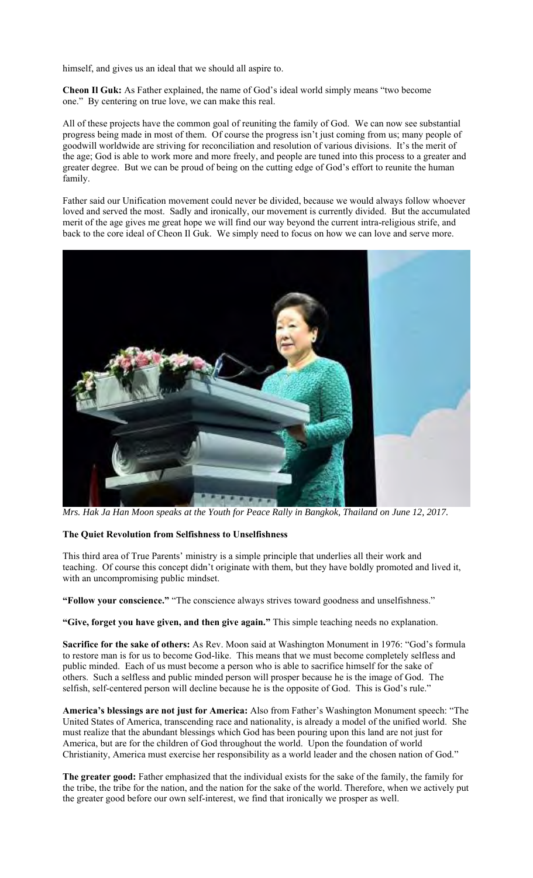himself, and gives us an ideal that we should all aspire to.

**Cheon Il Guk:** As Father explained, the name of God's ideal world simply means "two become one." By centering on true love, we can make this real.

All of these projects have the common goal of reuniting the family of God. We can now see substantial progress being made in most of them. Of course the progress isn't just coming from us; many people of goodwill worldwide are striving for reconciliation and resolution of various divisions. It's the merit of the age; God is able to work more and more freely, and people are tuned into this process to a greater and greater degree. But we can be proud of being on the cutting edge of God's effort to reunite the human family.

Father said our Unification movement could never be divided, because we would always follow whoever loved and served the most. Sadly and ironically, our movement is currently divided. But the accumulated merit of the age gives me great hope we will find our way beyond the current intra-religious strife, and back to the core ideal of Cheon Il Guk. We simply need to focus on how we can love and serve more.



*Mrs. Hak Ja Han Moon speaks at the Youth for Peace Rally in Bangkok, Thailand on June 12, 2017.*

## **The Quiet Revolution from Selfishness to Unselfishness**

This third area of True Parents' ministry is a simple principle that underlies all their work and teaching. Of course this concept didn't originate with them, but they have boldly promoted and lived it, with an uncompromising public mindset.

**"Follow your conscience."** "The conscience always strives toward goodness and unselfishness."

**"Give, forget you have given, and then give again."** This simple teaching needs no explanation.

**Sacrifice for the sake of others:** As Rev. Moon said at Washington Monument in 1976: "God's formula to restore man is for us to become God-like. This means that we must become completely selfless and public minded. Each of us must become a person who is able to sacrifice himself for the sake of others. Such a selfless and public minded person will prosper because he is the image of God. The selfish, self-centered person will decline because he is the opposite of God. This is God's rule."

**America's blessings are not just for America:** Also from Father's Washington Monument speech: "The United States of America, transcending race and nationality, is already a model of the unified world. She must realize that the abundant blessings which God has been pouring upon this land are not just for America, but are for the children of God throughout the world. Upon the foundation of world Christianity, America must exercise her responsibility as a world leader and the chosen nation of God."

**The greater good:** Father emphasized that the individual exists for the sake of the family, the family for the tribe, the tribe for the nation, and the nation for the sake of the world. Therefore, when we actively put the greater good before our own self-interest, we find that ironically we prosper as well.